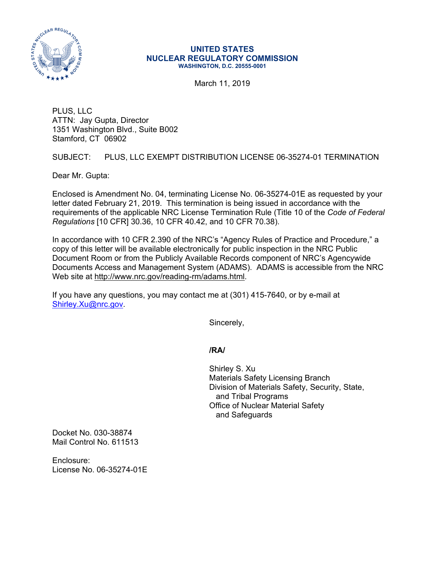

## **UNITED STATES NUCLEAR REGULATORY COMMISSION WASHINGTON, D.C. 20555-0001**

March 11, 2019

PLUS, LLC ATTN: Jay Gupta, Director 1351 Washington Blvd., Suite B002 Stamford, CT 06902

SUBJECT: PLUS, LLC EXEMPT DISTRIBUTION LICENSE 06-35274-01 TERMINATION

Dear Mr. Gupta:

Enclosed is Amendment No. 04, terminating License No. 06-35274-01E as requested by your letter dated February 21, 2019. This termination is being issued in accordance with the requirements of the applicable NRC License Termination Rule (Title 10 of the *Code of Federal Regulations* [10 CFR] 30.36, 10 CFR 40.42, and 10 CFR 70.38).

In accordance with 10 CFR 2.390 of the NRC's "Agency Rules of Practice and Procedure," a copy of this letter will be available electronically for public inspection in the NRC Public Document Room or from the Publicly Available Records component of NRC's Agencywide Documents Access and Management System (ADAMS). ADAMS is accessible from the NRC Web site at http://www.nrc.gov/reading-rm/adams.html.

If you have any questions, you may contact me at (301) 415-7640, or by e-mail at Shirley.Xu@nrc.gov.

Sincerely,

## **/RA/**

Shirley S. Xu Materials Safety Licensing Branch Division of Materials Safety, Security, State, and Tribal Programs Office of Nuclear Material Safety and Safeguards

Docket No. 030-38874 Mail Control No. 611513

Enclosure: License No. 06-35274-01E